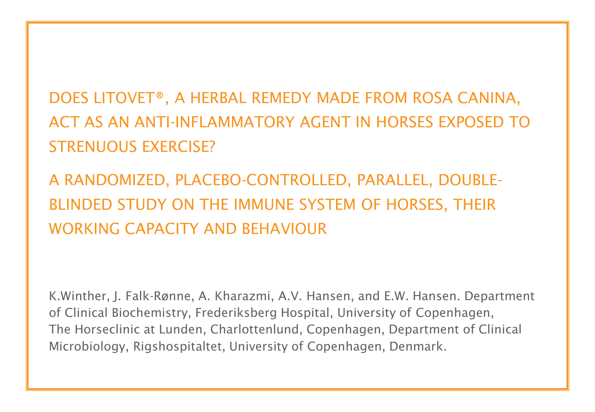DOES LITOVET®, A HERBAL REMEDY MADE FROM ROSA CANINA, ACT AS AN ANTI-INFLAMMATORY AGENT IN HORSES EXPOSED TO STRENUOUS EXERCISE?

A RANDOMIZED, PLACEBO-CONTROLLED, PARALLEL, DOUBLE-BLINDED STUDY ON THE IMMUNE SYSTEM OF HORSES, THEIR WORKING CAPACITY AND BEHAVIOUR

K.Winther, J. Falk-Rønne, A. Kharazmi, A.V. Hansen, and E.W. Hansen. Department of Clinical Biochemistry, Frederiksberg Hospital, University of Copenhagen, The Horseclinic at Lunden, Charlottenlund, Copenhagen, Department of Clinical Microbiology, Rigshospitaltet, University of Copenhagen, Denmark.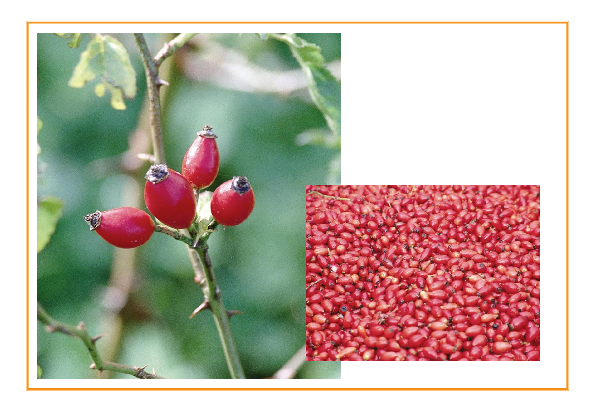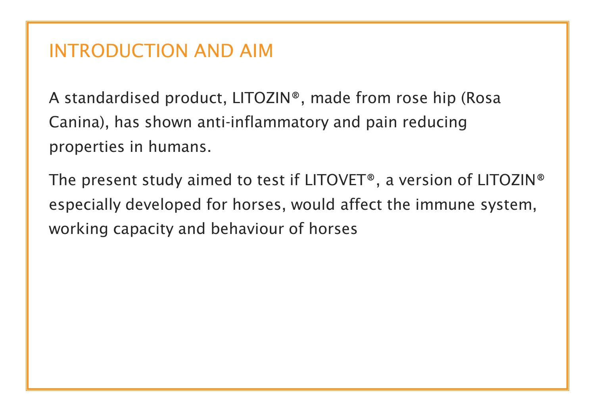### INTRODUCTION AND AIM

A standardised product, LITOZIN®, made from rose hip (Rosa Canina), has shown anti-inflammatory and pain reducing properties in humans.

The present study aimed to test if LITOVET®, a version of LITOZIN® especially developed for horses, would affect the immune system, working capacity and behaviour of horses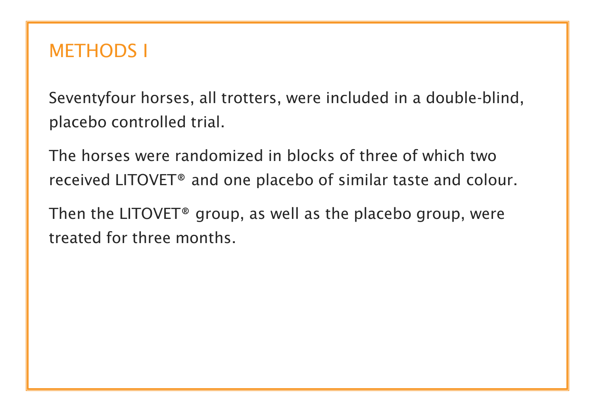#### METHODS I

Seventyfour horses, all trotters, were included in a double-blind, placebo controlled trial.

The horses were randomized in blocks of three of which two received LITOVET® and one placebo of similar taste and colour.

Then the LITOVET® group, as well as the placebo group, were treated for three months.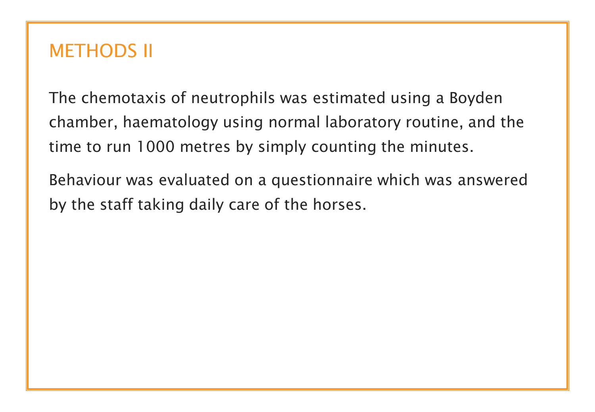## METHODS II

The chemotaxis of neutrophils was estimated using a Boyden chamber, haematology using normal laboratory routine, and the time to run 1000 metres by simply counting the minutes.

Behaviour was evaluated on a questionnaire which was answered by the staff taking daily care of the horses.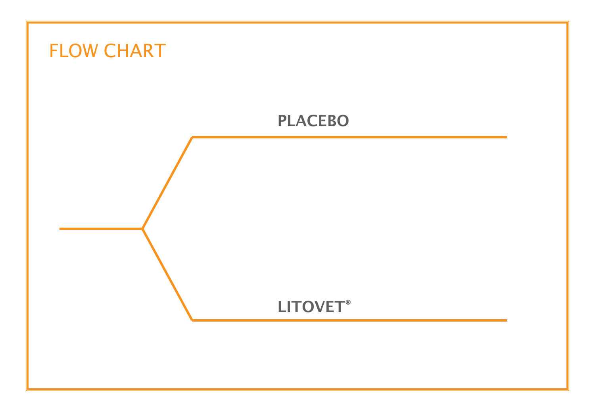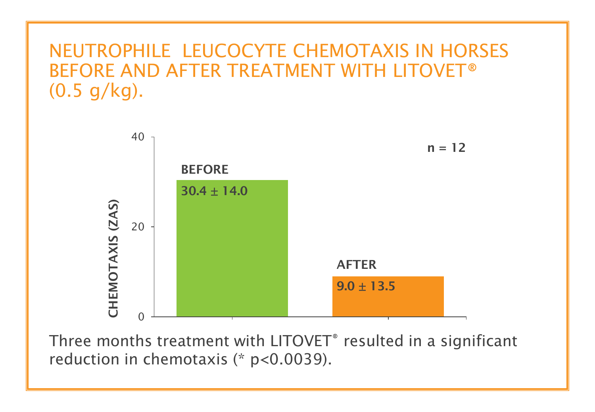# NEUTROPHILE LEUCOCYTE CHEMOTAXIS IN HORSES BEFORE AND AFTER TREATMENT WITH LITOVET® (0.5 g/kg).



Three months treatment with LITOVET® resulted in a significant reduction in chemotaxis (\* p<0.0039).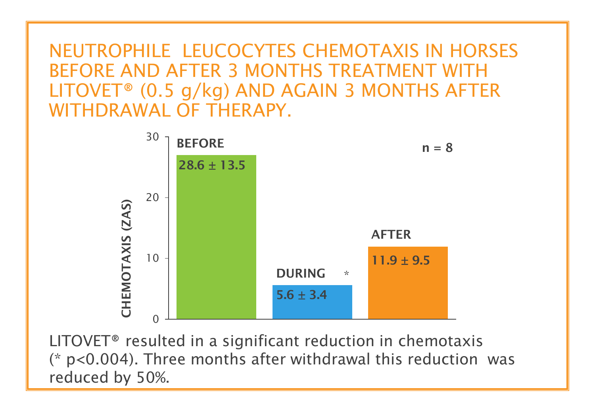NEUTROPHILE LEUCOCYTES CHEMOTAXIS IN HORSES BEFORE AND AFTER 3 MONTHS TREATMENT WITH LITOVET® (0.5 g/kg) AND AGAIN 3 MONTHS AFTER WITHDRAWAL OF THERAPY.



LITOVET® resulted in a significant reduction in chemotaxis (\* p<0.004). Three months after withdrawal this reduction was reduced by 50%.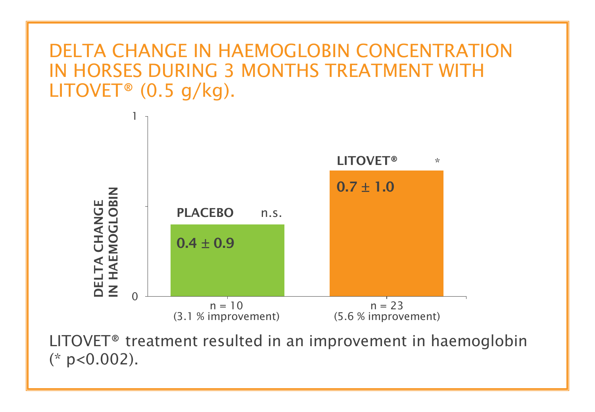## DELTA CHANGE IN HAEMOGLOBIN CONCENTRATION IN HORSES DURING 3 MONTHS TREATMENT WITH LITOVET<sup>®</sup> (0.5 g/kg).



LITOVET® treatment resulted in an improvement in haemoglobin  $(* p<0.002).$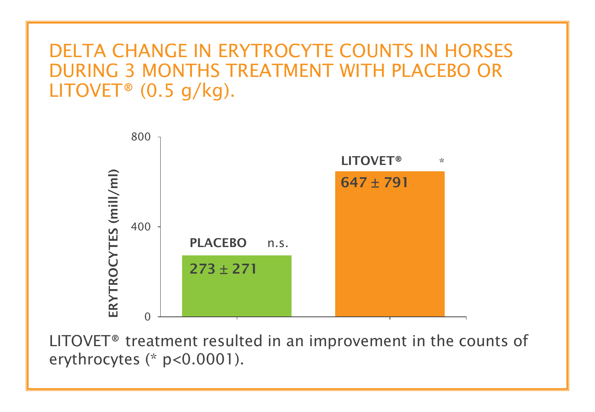## DELTA CHANGE IN ERYTROCYTE COUNTS IN HORSES DURING 3 MONTHS TREATMENT WITH PLACEBO OR LITOVET<sup>®</sup> (0.5 g/kg).



LITOVET® treatment resulted in an improvement in the counts of erythrocytes (\* p<0.0001).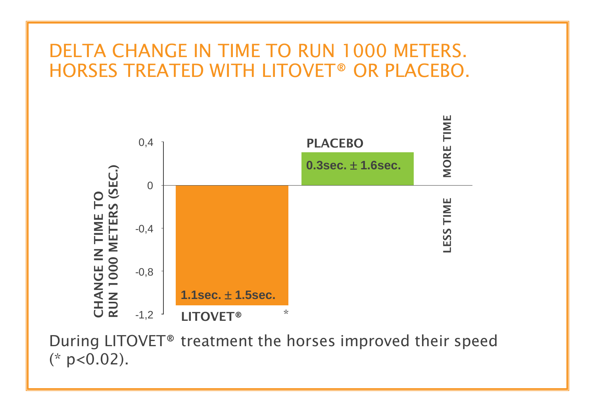## DELTA CHANGE IN TIME TO RUN 1000 METERS. HORSES TREATED WITH LITOVET® OR PLACEBO.



During LITOVET® treatment the horses improved their speed  $(* p<0.02).$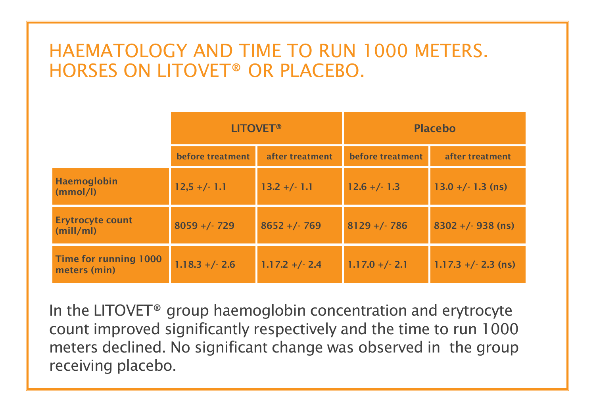# HAEMATOLOGY AND TIME TO RUN 1000 METERS. HORSES ON LITOVET® OR PLACEBO.

|                                              | <b>LITOVET®</b>  |                  | <b>Placebo</b>   |                        |
|----------------------------------------------|------------------|------------------|------------------|------------------------|
|                                              | before treatment | after treatment  | before treatment | after treatment        |
| <b>Haemoglobin</b><br>(mmol/l)               | $12,5 +/- 1.1$   | $13.2 +/- 1.1$   | $12.6 +/- 1.3$   | $13.0 + (-1.3)$ (ns)   |
| <b>Erytrocyte count</b><br>(mill/ml)         | $8059 + (-729$   | $8652 +/- 769$   | $8129 +/- 786$   | $8302 + (-938$ (ns)    |
| <b>Time for running 1000</b><br>meters (min) | $1.18.3 +/- 2.6$ | $1.17.2 +/- 2.4$ | $1.17.0 +/- 2.1$ | $1.17.3 + (-2.3)$ (ns) |

In the LITOVET® group haemoglobin concentration and erytrocyte count improved significantly respectively and the time to run 1000 meters declined. No significant change was observed in the group receiving placebo.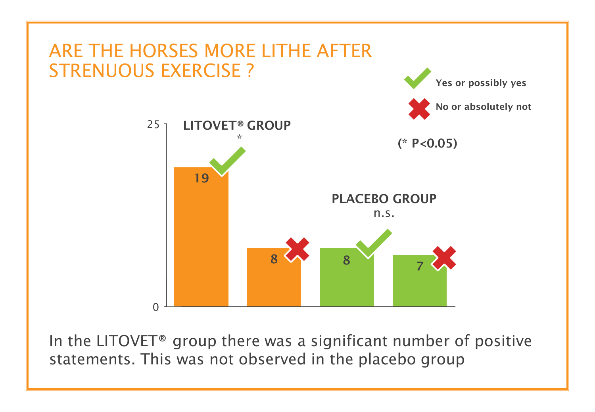

In the LITOVET® group there was a significant number of positive statements. This was not observed in the placebo group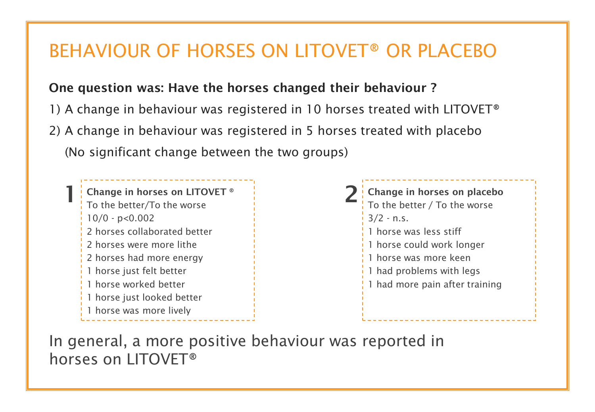## BEHAVIOUR OF HORSES ON LITOVET® OR PLACEBO

#### **One question was: Have the horses changed their behaviour ?**

1) A change in behaviour was registered in 10 horses treated with LITOVET® 2) A change in behaviour was registered in 5 horses treated with placebo (No significant change between the two groups)

**1**  $\frac{1}{2}$  Change in horses on LITOVET  $\circ$ To the better/To the worse 10/0 - p<0.002 2 horses collaborated better 2 horses were more lithe 2 horses had more energy 1 horse just felt better 1 horse worked better 1 horse just looked better 1 horse was more lively

**Change in horses on placebo** To the better / To the worse  $3/2 - n.s.$ 1 horse was less stiff 1 horse could work longer 1 horse was more keen 1 had problems with legs 1 had more pain after training

In general, a more positive behaviour was reported in horses on LITOVET®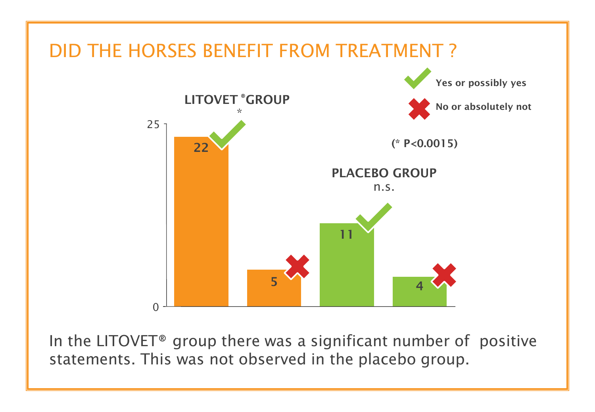

In the LITOVET® group there was a significant number of positive statements. This was not observed in the placebo group.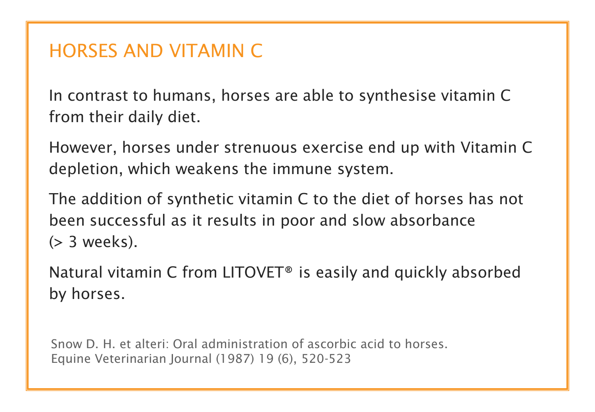## HORSES AND VITAMIN C

In contrast to humans, horses are able to synthesise vitamin C from their daily diet.

However, horses under strenuous exercise end up with Vitamin C depletion, which weakens the immune system.

The addition of synthetic vitamin C to the diet of horses has not been successful as it results in poor and slow absorbance (> 3 weeks).

Natural vitamin C from LITOVET® is easily and quickly absorbed by horses.

Snow D. H. et alteri: Oral administration of ascorbic acid to horses. Equine Veterinarian Journal (1987) 19 (6), 520-523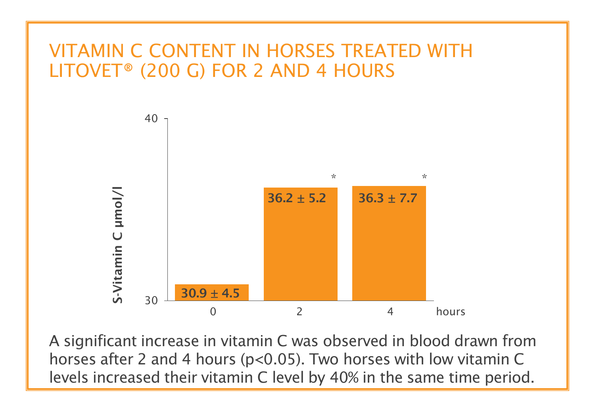## VITAMIN C CONTENT IN HORSES TREATED WITH LITOVET® (200 G) FOR 2 AND 4 HOURS



A significant increase in vitamin C was observed in blood drawn from horses after 2 and 4 hours (p<0.05). Two horses with low vitamin C levels increased their vitamin C level by 40% in the same time period.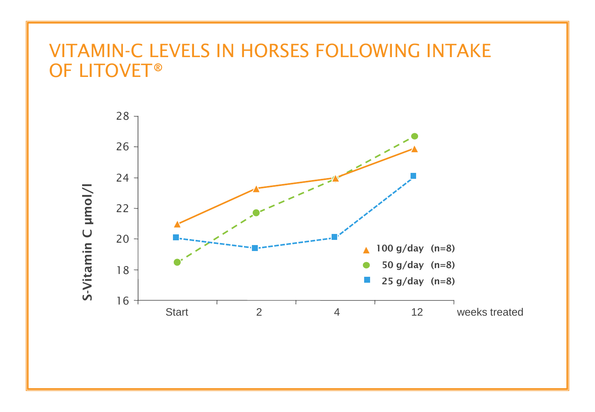## VITAMIN-C LEVELS IN HORSES FOLLOWING INTAKE OF LITOVET<sup>®</sup>

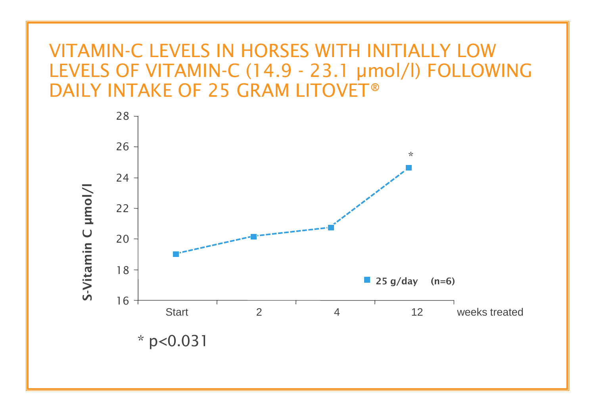### VITAMIN-C LEVELS IN HORSES WITH INITIALLY LOW LEVELS OF VITAMIN-C (14.9 - 23.1 µmol/l) FOLLOWING DAILY INTAKE OF 25 GRAM LITOVET®

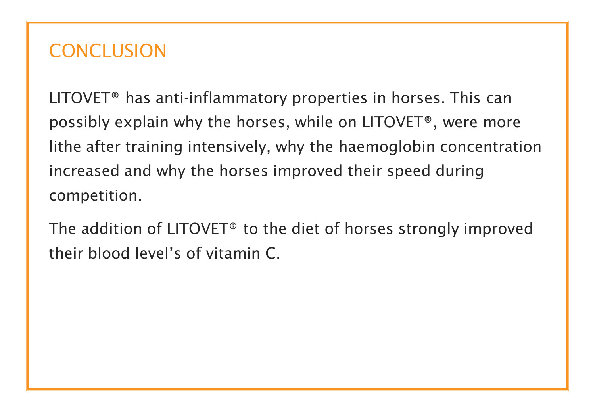# **CONCLUSION**

LITOVET® has anti-inflammatory properties in horses. This can possibly explain why the horses, while on LITOVET®, were more lithe after training intensively, why the haemoglobin concentration increased and why the horses improved their speed during competition.

The addition of LITOVET® to the diet of horses strongly improved their blood level's of vitamin C.